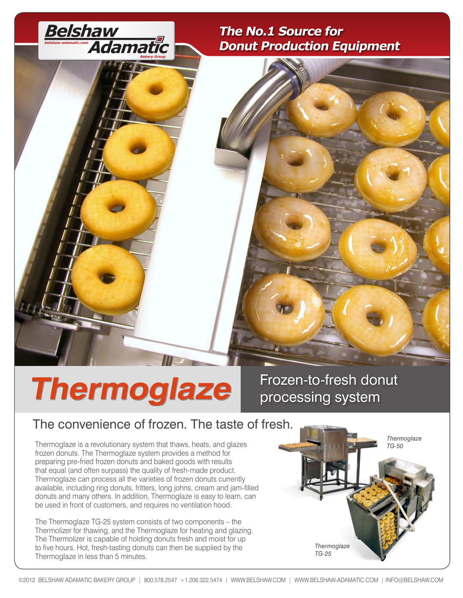

### **The No.1 Source for Donut Production Equipment**

# **Thermoglaze Frozen-to-fresh donut processing system**

## processing system

## The convenience of frozen. The taste of fresh.

Thermoglaze is a revolutionary system that thaws, heats, and glazes frozen donuts. The Thermoglaze system provides a method for preparing pre-fried frozen donuts and baked goods with results that equal (and often surpass) the quality of fresh-made product. Thermoglaze can process all the varieties of frozen donuts currently available, including ring donuts, fritters, long johns, cream and jam-filled donuts and many others. In addition, Thermoglaze is easy to learn, can be used in front of customers, and requires no ventilation hood.

The Thermoglaze TG-25 system consists of two components – the Thermolizer for thawing, and the Thermoglaze for heating and glazing. The Thermolizer is capable of holding donuts fresh and moist for up to five hours. Hot, fresh-tasting donuts can then be supplied by the Thermoglaze in less than 5 minutes.

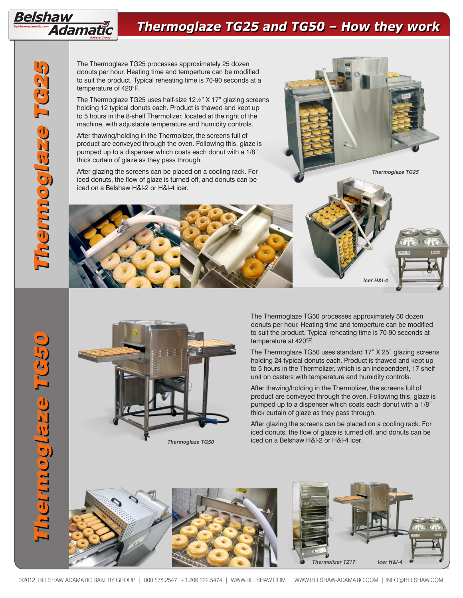

Belshaw

*Adamatic* 

The Thermoglaze TG25 processes approximately 25 dozen donuts per hour. Heating time and temperture can be modified to suit the product. Typical reheating time is 70-90 seconds at a temperature of 420°F.

The Thermoglaze TG25 uses half-size 12½" X 17" glazing screens holding 12 typical donuts each. Product is thawed and kept up to 5 hours in the 8-shelf Thermolizer, located at the right of the machine, with adjustable temperature and humidity controls.

After thawing/holding in the Thermolizer, the screens full of product are conveyed through the oven. Following this, glaze is pumped up to a dispenser which coats each donut with a 1/8" thick curtain of glaze as they pass through.

After glazing the screens can be placed on a cooling rack. For iced donuts, the flow of glaze is turned off, and donuts can be iced on a Belshaw H&I-2 or H&I-4 icer.





The Thermoglaze TG50 processes approximately 50 dozen donuts per hour. Heating time and temperture can be modified to suit the product. Typical reheating time is 70-90 seconds at temperature at 420°F.

**Icer H&I-4** 

**Thermoglaze TG25** 

The Thermoglaze TG50 uses standard 17" X 25" glazing screens holding 24 typical donuts each. Product is thawed and kept up to 5 hours in the Thermolizer, which is an independent, 17 shelf unit on casters with temperature and humidity controls.

After thawing/holding in the Thermolizer, the screens full of product are conveyed through the oven. Following this, glaze is pumped up to a dispenser which coats each donut with a 1/8" thick curtain of glaze as they pass through.

After glazing the screens can be placed on a cooling rack. For iced donuts, the flow of glaze is turned off, and donuts can be iced on a Belshaw H&I-2 or H&I-4 icer.

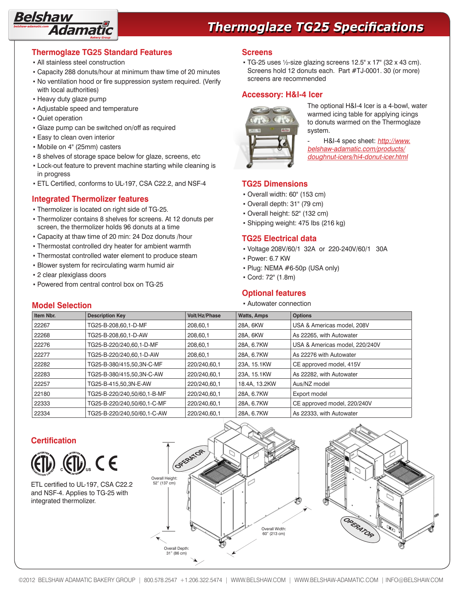

## **Thermoglaze TG25 Specifications**

#### **Thermoglaze TG25 Standard Features**

- All stainless steel construction
- Capacity 288 donuts/hour at minimum thaw time of 20 minutes
- No ventilation hood or fire suppression system required. (Verify with local authorities)
- **· Heavy duty glaze pump**
- Adjustable speed and temperature
- Quiet operation
- Glaze pump can be switched on/off as required
- **Easy to clean oven interior**
- Mobile on 4" (25mm) casters
- 8 shelves of storage space below for glaze, screens, etc
- Lock-out feature to prevent machine starting while cleaning is in progress
- ETL Certified, conforms to UL-197, CSA C22.2, and NSF-4

#### **Integrated Thermolizer features**

- Thermolizer is located on right side of TG-25.
- Thermolizer contains 8 shelves for screens. At 12 donuts per screen, the thermolizer holds 96 donuts at a time
- Capacity at thaw time of 20 min: 24 Doz donuts /hour
- Thermostat controlled dry heater for ambient warmth
- Thermostat controlled water element to produce steam
- **· Blower system for recirculating warm humid air**
- 2 clear plexiglass doors
- Powered from central control box on TG-25

#### **Screens**

 $\cdot$  TG-25 uses 1/2-size glazing screens 12.5" x 17" (32 x 43 cm). Screens hold 12 donuts each. Part #TJ-0001. 30 (or more) screens are recommended

#### **Accessory: H&I-4 Icer**



The optional H&I-4 Icer is a 4-bowl, water warmed icing table for applying icings to donuts warmed on the Thermoglaze system.

H&I-4 spec sheet: [http://www.](http://www.belshaw-adamatic.com/specs/belshaw-icers-H&I2-4-DFC-ST.pdf) [belshaw-adamatic.com/products/](http://www.belshaw-adamatic.com/specs/belshaw-icers-H&I2-4-DFC-ST.pdf) [doughnut-icers/hi4-donut-icer.html](http://www.belshaw-adamatic.com/specs/belshaw-icers-H&I2-4-DFC-ST.pdf)

#### **TG25 Dimensions**

- Overall width: 60" (153 cm)
- Overall depth: 31" (79 cm)
- Overall height: 52" (132 cm)
- Shipping weight: 475 lbs (216 kg)

#### **TG25 Electrical data**

- Voltage 208V/60/1 32A or 220-240V/60/1 30A
- Power: 6.7 KW
- $\cdot$  Plug: NEMA  $\#$ 6-50p (USA only)
- Cord: 72" (1.8m)

#### **Optional features**

**Model Selection Example 2018 The Model Selection F** Autowater connection

| MOUGLOGICOM |                             |               |                    |                                |  |  |
|-------------|-----------------------------|---------------|--------------------|--------------------------------|--|--|
| Item Nbr.   | <b>Description Key</b>      | Volt/Hz/Phase | <b>Watts, Amps</b> | <b>Options</b>                 |  |  |
| 22267       | TG25-B-208,60,1-D-MF        | 208,60,1      | 28A, 6KW           | USA & Americas model, 208V     |  |  |
| 22268       | TG25-B-208.60.1-D-AW        | 208.60.1      | 28A, 6KW           | As 22265, with Autowater       |  |  |
| 22276       | TG25-B-220/240,60,1-D-MF    | 208.60.1      | 28A, 6.7KW         | USA & Americas model, 220/240V |  |  |
| 22277       | TG25-B-220/240,60,1-D-AW    | 208,60,1      | 28A, 6.7KW         | As 22276 with Autowater        |  |  |
| 22282       | TG25-B-380/415.50.3N-C-MF   | 220/240,60,1  | 23A, 15.1KW        | CE approved model, 415V        |  |  |
| 22283       | TG25-B-380/415,50,3N-C-AW   | 220/240,60,1  | 23A, 15.1KW        | As 22282, with Autowater       |  |  |
| 22257       | TG25-B-415.50.3N-E-AW       | 220/240,60,1  | 18.4A, 13.2KW      | Aus/NZ model                   |  |  |
| 22180       | TG25-B-220/240,50/60,1-B-MF | 220/240,60,1  | 28A, 6.7KW         | Export model                   |  |  |
| 22333       | TG25-B-220/240.50/60.1-C-MF | 220/240,60,1  | 28A, 6.7KW         | CE approved model, 220/240V    |  |  |
| 22334       | TG25-B-220/240.50/60.1-C-AW | 220/240,60,1  | 28A, 6.7KW         | As 22333, with Autowater       |  |  |

#### **Certification**



ETL certified to UL-197, CSA C22.2 and NSF-4. Applies to TG-25 with integrated thermolizer.